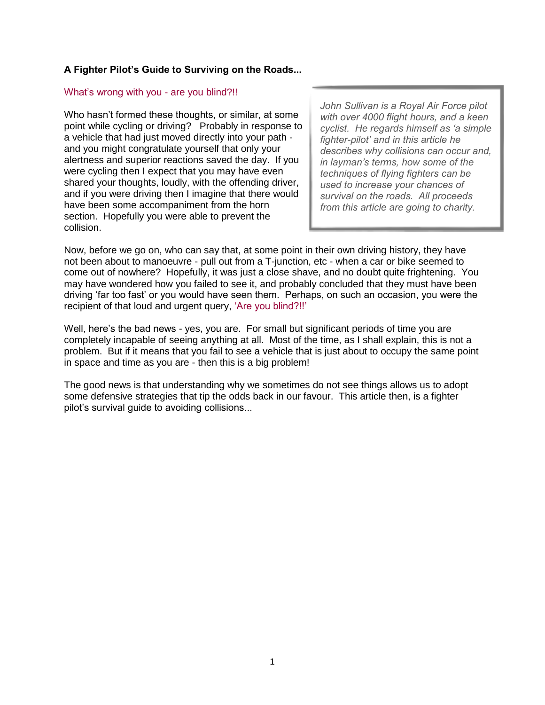# **A Fighter Pilot's Guide to Surviving on the Roads...**

#### What's wrong with you - are you blind?!!

Who hasn't formed these thoughts, or similar, at some point while cycling or driving? Probably in response to a vehicle that had just moved directly into your path and you might congratulate yourself that only your alertness and superior reactions saved the day. If you were cycling then I expect that you may have even shared your thoughts, loudly, with the offending driver, and if you were driving then I imagine that there would have been some accompaniment from the horn section. Hopefully you were able to prevent the collision.

*John Sullivan is a Royal Air Force pilot with over 4000 flight hours, and a keen cyclist. He regards himself as 'a simple fighter-pilot' and in this article he describes why collisions can occur and, in layman's terms, how some of the techniques of flying fighters can be used to increase your chances of survival on the roads. All proceeds from this article are going to charity.* 

Now, before we go on, who can say that, at some point in their own driving history, they have not been about to manoeuvre - pull out from a T-junction, etc - when a car or bike seemed to come out of nowhere? Hopefully, it was just a close shave, and no doubt quite frightening. You may have wondered how you failed to see it, and probably concluded that they must have been driving 'far too fast' or you would have seen them. Perhaps, on such an occasion, you were the recipient of that loud and urgent query, 'Are you blind?!!'

Well, here's the bad news - yes, you are. For small but significant periods of time you are completely incapable of seeing anything at all. Most of the time, as I shall explain, this is not a problem. But if it means that you fail to see a vehicle that is just about to occupy the same point in space and time as you are - then this is a big problem!

The good news is that understanding why we sometimes do not see things allows us to adopt some defensive strategies that tip the odds back in our favour. This article then, is a fighter pilot's survival guide to avoiding collisions...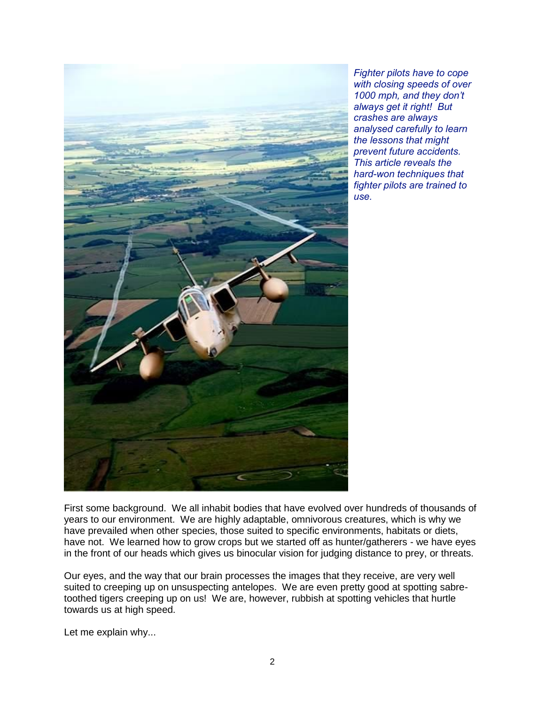

*Fighter pilots have to cope with closing speeds of over 1000 mph, and they don't always get it right! But crashes are always analysed carefully to learn the lessons that might prevent future accidents. This article reveals the hard-won techniques that fighter pilots are trained to use.*

First some background. We all inhabit bodies that have evolved over hundreds of thousands of years to our environment. We are highly adaptable, omnivorous creatures, which is why we have prevailed when other species, those suited to specific environments, habitats or diets, have not. We learned how to grow crops but we started off as hunter/gatherers - we have eyes in the front of our heads which gives us binocular vision for judging distance to prey, or threats.

Our eyes, and the way that our brain processes the images that they receive, are very well suited to creeping up on unsuspecting antelopes. We are even pretty good at spotting sabretoothed tigers creeping up on us! We are, however, rubbish at spotting vehicles that hurtle towards us at high speed.

Let me explain why...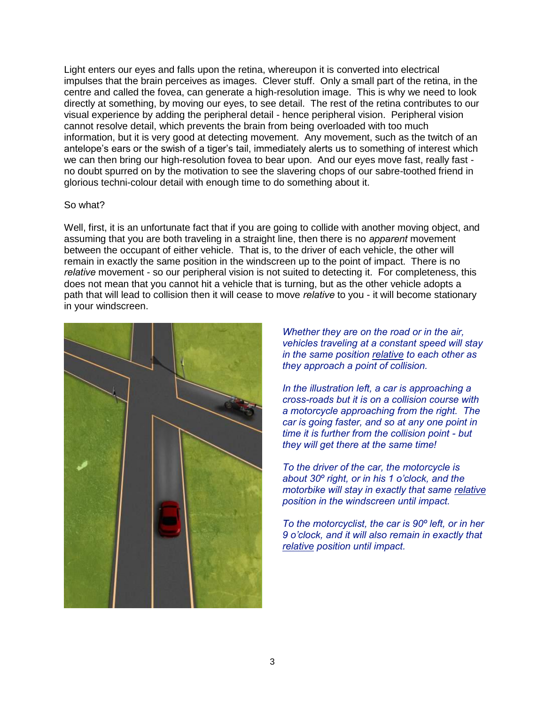Light enters our eyes and falls upon the retina, whereupon it is converted into electrical impulses that the brain perceives as images. Clever stuff. Only a small part of the retina, in the centre and called the fovea, can generate a high-resolution image. This is why we need to look directly at something, by moving our eyes, to see detail. The rest of the retina contributes to our visual experience by adding the peripheral detail - hence peripheral vision. Peripheral vision cannot resolve detail, which prevents the brain from being overloaded with too much information, but it is very good at detecting movement. Any movement, such as the twitch of an antelope's ears or the swish of a tiger's tail, immediately alerts us to something of interest which we can then bring our high-resolution fovea to bear upon. And our eyes move fast, really fast no doubt spurred on by the motivation to see the slavering chops of our sabre-toothed friend in glorious techni-colour detail with enough time to do something about it.

#### So what?

Well, first, it is an unfortunate fact that if you are going to collide with another moving object, and assuming that you are both traveling in a straight line, then there is no *apparent* movement between the occupant of either vehicle. That is, to the driver of each vehicle, the other will remain in exactly the same position in the windscreen up to the point of impact. There is no *relative* movement - so our peripheral vision is not suited to detecting it. For completeness, this does not mean that you cannot hit a vehicle that is turning, but as the other vehicle adopts a path that will lead to collision then it will cease to move *relative* to you - it will become stationary in your windscreen.



*Whether they are on the road or in the air, vehicles traveling at a constant speed will stay in the same position relative to each other as they approach a point of collision.*

*In the illustration left, a car is approaching a cross-roads but it is on a collision course with a motorcycle approaching from the right. The car is going faster, and so at any one point in time it is further from the collision point - but they will get there at the same time!*

*To the driver of the car, the motorcycle is about 30º right, or in his 1 o'clock, and the motorbike will stay in exactly that same relative position in the windscreen until impact.*

*To the motorcyclist, the car is 90º left, or in her 9 o'clock, and it will also remain in exactly that relative position until impact.*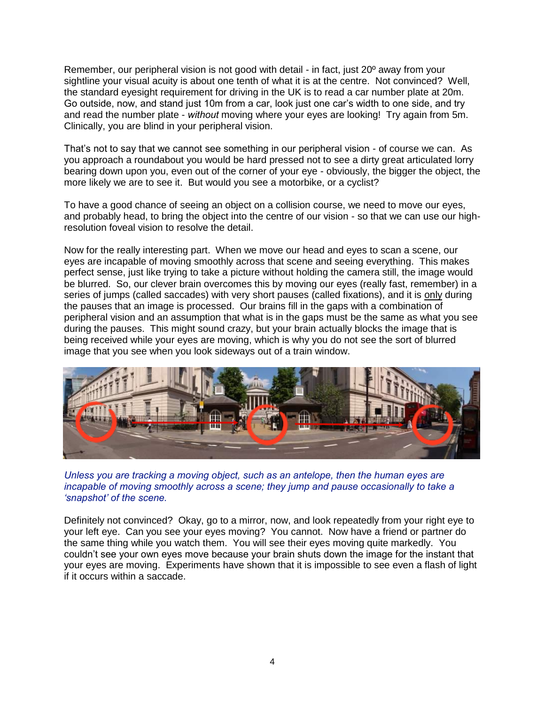Remember, our peripheral vision is not good with detail - in fact, just 20º away from your sightline your visual acuity is about one tenth of what it is at the centre. Not convinced? Well, the standard eyesight requirement for driving in the UK is to read a car number plate at 20m. Go outside, now, and stand just 10m from a car, look just one car's width to one side, and try and read the number plate - *without* moving where your eyes are looking! Try again from 5m. Clinically, you are blind in your peripheral vision.

That's not to say that we cannot see something in our peripheral vision - of course we can. As you approach a roundabout you would be hard pressed not to see a dirty great articulated lorry bearing down upon you, even out of the corner of your eye - obviously, the bigger the object, the more likely we are to see it. But would you see a motorbike, or a cyclist?

To have a good chance of seeing an object on a collision course, we need to move our eyes, and probably head, to bring the object into the centre of our vision - so that we can use our highresolution foveal vision to resolve the detail.

Now for the really interesting part. When we move our head and eyes to scan a scene, our eyes are incapable of moving smoothly across that scene and seeing everything. This makes perfect sense, just like trying to take a picture without holding the camera still, the image would be blurred. So, our clever brain overcomes this by moving our eyes (really fast, remember) in a series of jumps (called saccades) with very short pauses (called fixations), and it is only during the pauses that an image is processed. Our brains fill in the gaps with a combination of peripheral vision and an assumption that what is in the gaps must be the same as what you see during the pauses. This might sound crazy, but your brain actually blocks the image that is being received while your eyes are moving, which is why you do not see the sort of blurred image that you see when you look sideways out of a train window.



*Unless you are tracking a moving object, such as an antelope, then the human eyes are incapable of moving smoothly across a scene; they jump and pause occasionally to take a 'snapshot' of the scene.*

Definitely not convinced? Okay, go to a mirror, now, and look repeatedly from your right eye to your left eye. Can you see your eyes moving? You cannot. Now have a friend or partner do the same thing while you watch them. You will see their eyes moving quite markedly. You couldn't see your own eyes move because your brain shuts down the image for the instant that your eyes are moving. Experiments have shown that it is impossible to see even a flash of light if it occurs within a saccade.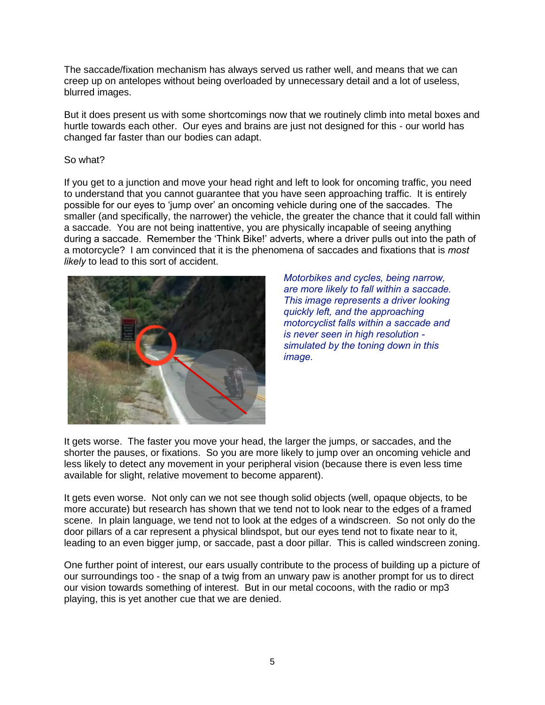The saccade/fixation mechanism has always served us rather well, and means that we can creep up on antelopes without being overloaded by unnecessary detail and a lot of useless, blurred images.

But it does present us with some shortcomings now that we routinely climb into metal boxes and hurtle towards each other. Our eyes and brains are just not designed for this - our world has changed far faster than our bodies can adapt.

### So what?

If you get to a junction and move your head right and left to look for oncoming traffic, you need to understand that you cannot guarantee that you have seen approaching traffic. It is entirely possible for our eyes to 'jump over' an oncoming vehicle during one of the saccades. The smaller (and specifically, the narrower) the vehicle, the greater the chance that it could fall within a saccade. You are not being inattentive, you are physically incapable of seeing anything during a saccade. Remember the 'Think Bike!' adverts, where a driver pulls out into the path of a motorcycle? I am convinced that it is the phenomena of saccades and fixations that is *most likely* to lead to this sort of accident.



*Motorbikes and cycles, being narrow, are more likely to fall within a saccade. This image represents a driver looking quickly left, and the approaching motorcyclist falls within a saccade and is never seen in high resolution simulated by the toning down in this image.*

It gets worse. The faster you move your head, the larger the jumps, or saccades, and the shorter the pauses, or fixations. So you are more likely to jump over an oncoming vehicle and less likely to detect any movement in your peripheral vision (because there is even less time available for slight, relative movement to become apparent).

It gets even worse. Not only can we not see though solid objects (well, opaque objects, to be more accurate) but research has shown that we tend not to look near to the edges of a framed scene. In plain language, we tend not to look at the edges of a windscreen. So not only do the door pillars of a car represent a physical blindspot, but our eyes tend not to fixate near to it, leading to an even bigger jump, or saccade, past a door pillar. This is called windscreen zoning.

One further point of interest, our ears usually contribute to the process of building up a picture of our surroundings too - the snap of a twig from an unwary paw is another prompt for us to direct our vision towards something of interest. But in our metal cocoons, with the radio or mp3 playing, this is yet another cue that we are denied.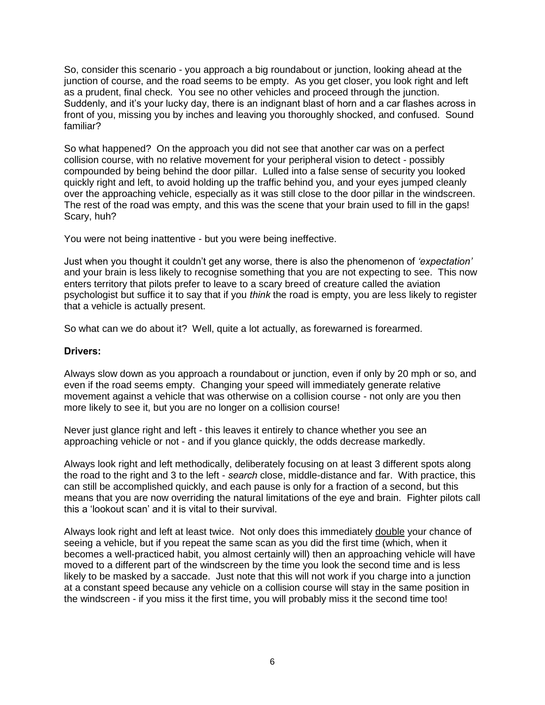So, consider this scenario - you approach a big roundabout or junction, looking ahead at the junction of course, and the road seems to be empty. As you get closer, you look right and left as a prudent, final check. You see no other vehicles and proceed through the junction. Suddenly, and it's your lucky day, there is an indignant blast of horn and a car flashes across in front of you, missing you by inches and leaving you thoroughly shocked, and confused. Sound familiar?

So what happened? On the approach you did not see that another car was on a perfect collision course, with no relative movement for your peripheral vision to detect - possibly compounded by being behind the door pillar. Lulled into a false sense of security you looked quickly right and left, to avoid holding up the traffic behind you, and your eyes jumped cleanly over the approaching vehicle, especially as it was still close to the door pillar in the windscreen. The rest of the road was empty, and this was the scene that your brain used to fill in the gaps! Scary, huh?

You were not being inattentive - but you were being ineffective.

Just when you thought it couldn't get any worse, there is also the phenomenon of *'expectation'*  and your brain is less likely to recognise something that you are not expecting to see. This now enters territory that pilots prefer to leave to a scary breed of creature called the aviation psychologist but suffice it to say that if you *think* the road is empty, you are less likely to register that a vehicle is actually present.

So what can we do about it? Well, quite a lot actually, as forewarned is forearmed.

### **Drivers:**

Always slow down as you approach a roundabout or junction, even if only by 20 mph or so, and even if the road seems empty. Changing your speed will immediately generate relative movement against a vehicle that was otherwise on a collision course - not only are you then more likely to see it, but you are no longer on a collision course!

Never just glance right and left - this leaves it entirely to chance whether you see an approaching vehicle or not - and if you glance quickly, the odds decrease markedly.

Always look right and left methodically, deliberately focusing on at least 3 different spots along the road to the right and 3 to the left - *search* close, middle-distance and far. With practice, this can still be accomplished quickly, and each pause is only for a fraction of a second, but this means that you are now overriding the natural limitations of the eye and brain. Fighter pilots call this a 'lookout scan' and it is vital to their survival.

Always look right and left at least twice. Not only does this immediately double your chance of seeing a vehicle, but if you repeat the same scan as you did the first time (which, when it becomes a well-practiced habit, you almost certainly will) then an approaching vehicle will have moved to a different part of the windscreen by the time you look the second time and is less likely to be masked by a saccade. Just note that this will not work if you charge into a junction at a constant speed because any vehicle on a collision course will stay in the same position in the windscreen - if you miss it the first time, you will probably miss it the second time too!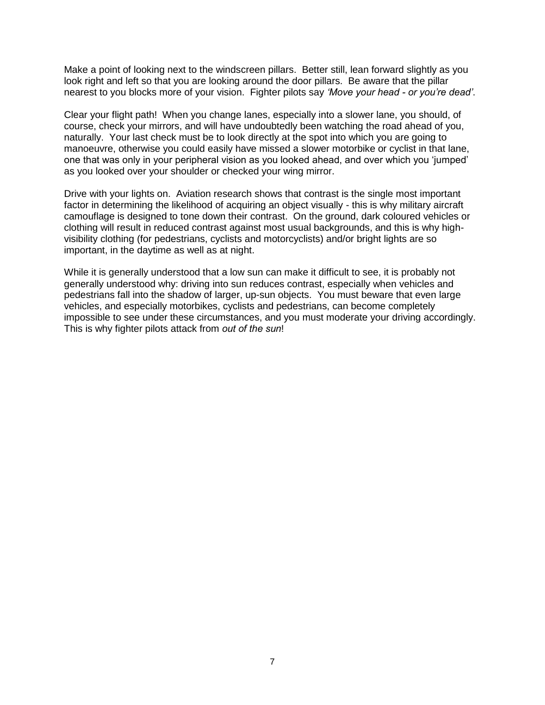Make a point of looking next to the windscreen pillars. Better still, lean forward slightly as you look right and left so that you are looking around the door pillars. Be aware that the pillar nearest to you blocks more of your vision. Fighter pilots say *'Move your head - or you're dead'*.

Clear your flight path! When you change lanes, especially into a slower lane, you should, of course, check your mirrors, and will have undoubtedly been watching the road ahead of you, naturally. Your last check must be to look directly at the spot into which you are going to manoeuvre, otherwise you could easily have missed a slower motorbike or cyclist in that lane, one that was only in your peripheral vision as you looked ahead, and over which you 'jumped' as you looked over your shoulder or checked your wing mirror.

Drive with your lights on. Aviation research shows that contrast is the single most important factor in determining the likelihood of acquiring an object visually - this is why military aircraft camouflage is designed to tone down their contrast. On the ground, dark coloured vehicles or clothing will result in reduced contrast against most usual backgrounds, and this is why highvisibility clothing (for pedestrians, cyclists and motorcyclists) and/or bright lights are so important, in the daytime as well as at night.

While it is generally understood that a low sun can make it difficult to see, it is probably not generally understood why: driving into sun reduces contrast, especially when vehicles and pedestrians fall into the shadow of larger, up-sun objects. You must beware that even large vehicles, and especially motorbikes, cyclists and pedestrians, can become completely impossible to see under these circumstances, and you must moderate your driving accordingly. This is why fighter pilots attack from *out of the sun*!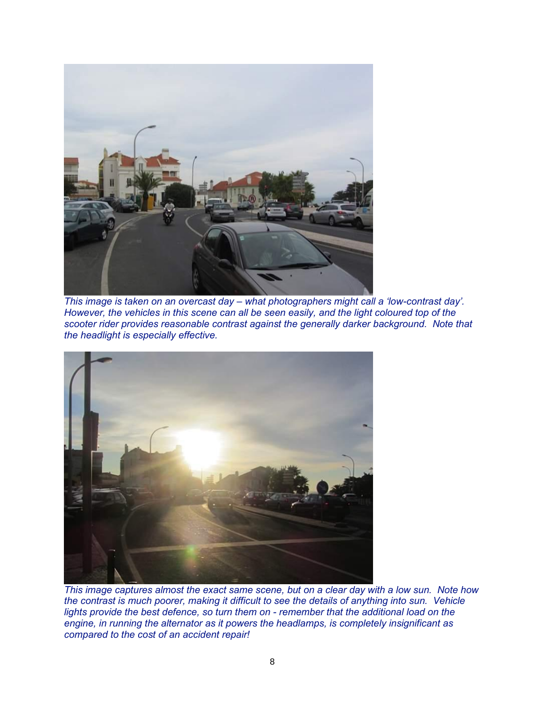

*This image is taken on an overcast day – what photographers might call a 'low-contrast day'. However, the vehicles in this scene can all be seen easily, and the light coloured top of the scooter rider provides reasonable contrast against the generally darker background. Note that the headlight is especially effective.*



*This image captures almost the exact same scene, but on a clear day with a low sun. Note how the contrast is much poorer, making it difficult to see the details of anything into sun. Vehicle lights provide the best defence, so turn them on - remember that the additional load on the engine, in running the alternator as it powers the headlamps, is completely insignificant as compared to the cost of an accident repair!*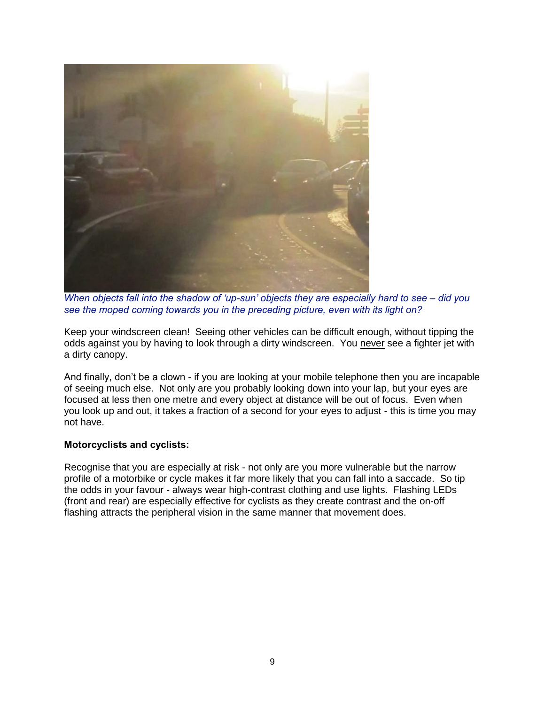

*When objects fall into the shadow of 'up-sun' objects they are especially hard to see – did you see the moped coming towards you in the preceding picture, even with its light on?*

Keep your windscreen clean! Seeing other vehicles can be difficult enough, without tipping the odds against you by having to look through a dirty windscreen. You never see a fighter jet with a dirty canopy.

And finally, don't be a clown - if you are looking at your mobile telephone then you are incapable of seeing much else. Not only are you probably looking down into your lap, but your eyes are focused at less then one metre and every object at distance will be out of focus. Even when you look up and out, it takes a fraction of a second for your eyes to adjust - this is time you may not have.

## **Motorcyclists and cyclists:**

Recognise that you are especially at risk - not only are you more vulnerable but the narrow profile of a motorbike or cycle makes it far more likely that you can fall into a saccade. So tip the odds in your favour - always wear high-contrast clothing and use lights. Flashing LEDs (front and rear) are especially effective for cyclists as they create contrast and the on-off flashing attracts the peripheral vision in the same manner that movement does.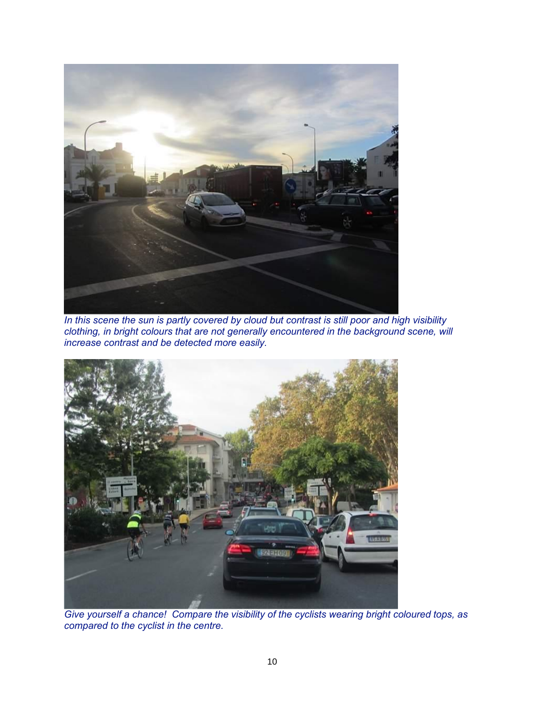

*In this scene the sun is partly covered by cloud but contrast is still poor and high visibility clothing, in bright colours that are not generally encountered in the background scene, will increase contrast and be detected more easily.*



*Give yourself a chance! Compare the visibility of the cyclists wearing bright coloured tops, as compared to the cyclist in the centre.*